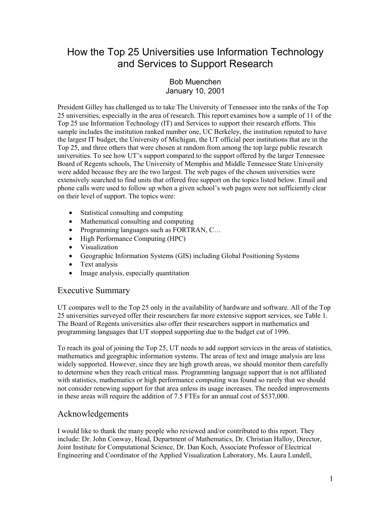# How the Top 25 Universities use Information Technology and Services to Support Research

## Bob Muenchen January 10, 2001

President Gilley has challenged us to take The University of Tennessee into the ranks of the Top 25 universities, especially in the area of research. This report examines how a sample of 11 of the Top 25 use Information Technology (IT) and Services to support their research efforts. This sample includes the institution ranked number one, UC Berkeley, the institution reputed to have the largest IT budget, the University of Michigan, the UT official peer institutions that are in the Top 25, and three others that were chosen at random from among the top large public research universities. To see how UT's support compared to the support offered by the larger Tennessee Board of Regents schools, The University of Memphis and Middle Tennessee State University were added because they are the two largest. The web pages of the chosen universities were extensively searched to find units that offered free support on the topics listed below. Email and phone calls were used to follow up when a given school's web pages were not sufficiently clear on their level of support. The topics were:

- Statistical consulting and computing
- Mathematical consulting and computing
- Programming languages such as FORTRAN, C...
- High Performance Computing (HPC)
- Visualization
- Geographic Information Systems (GIS) including Global Positioning Systems
- Text analysis
- Image analysis, especially quantitation

## Executive Summary

UT compares well to the Top 25 only in the availability of hardware and software. All of the Top 25 universities surveyed offer their researchers far more extensive support services, see Table 1. The Board of Regents universities also offer their researchers support in mathematics and programming languages that UT stopped supporting due to the budget cut of 1996.

To reach its goal of joining the Top 25, UT needs to add support services in the areas of statistics, mathematics and geographic information systems. The areas of text and image analysis are less widely supported. However, since they are high growth areas, we should monitor them carefully to determine when they reach critical mass. Programming language support that is not affiliated with statistics, mathematics or high performance computing was found so rarely that we should not consider renewing support for that area unless its usage increases. The needed improvements in these areas will require the addition of 7.5 FTEs for an annual cost of \$537,000.

## Acknowledgements

I would like to thank the many people who reviewed and/or contributed to this report. They include: Dr. John Conway, Head, Department of Mathematics, Dr. Christian Halloy, Director, Joint Institute for Computational Science, Dr. Dan Koch, Associate Professor of Electrical Engineering and Coordinator of the Applied Visualization Laboratory, Ms. Laura Lundell,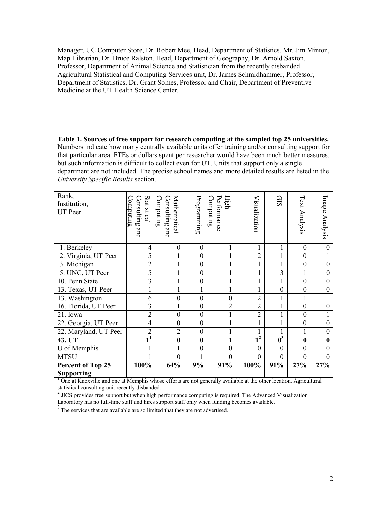Manager, UC Computer Store, Dr. Robert Mee, Head, Department of Statistics, Mr. Jim Minton, Map Librarian, Dr. Bruce Ralston, Head, Department of Geography, Dr. Arnold Saxton, Professor, Department of Animal Science and Statistician from the recently disbanded Agricultural Statistical and Computing Services unit, Dr. James Schmidhammer, Professor, Department of Statistics, Dr. Grant Somes, Professor and Chair, Department of Preventive Medicine at the UT Health Science Center.

**Table 1. Sources of free support for research computing at the sampled top 25 universities.**  Numbers indicate how many centrally available units offer training and/or consulting support for that particular area. FTEs or dollars spent per researcher would have been much better measures, but such information is difficult to collect even for UT. Units that support only a single department are not included. The precise school names and more detailed results are listed in the *University Specific Results* section.

| Rank,<br>Institution,<br><b>UT</b> Peer | Statistical<br>onsulting<br>omputing<br>and | Mathematical<br>Computing<br>Consulting<br>and | Programming      | Performance<br>High<br>$\text{Compuring}$ | Visualization  | <b>GIS</b>                | Text Analysis  | Image Analysis   |
|-----------------------------------------|---------------------------------------------|------------------------------------------------|------------------|-------------------------------------------|----------------|---------------------------|----------------|------------------|
| 1. Berkeley                             | 4                                           | $\boldsymbol{0}$                               | $\boldsymbol{0}$ | 1                                         | 1              | 1                         | $\mathbf{0}$   | $\boldsymbol{0}$ |
| 2. Virginia, UT Peer                    | 5                                           |                                                | $\boldsymbol{0}$ | $\mathbf{1}$                              | $\overline{2}$ | 1                         | $\overline{0}$ | $\mathbf{1}$     |
| 3. Michigan                             | $\overline{2}$                              |                                                | $\boldsymbol{0}$ | 1                                         |                |                           | $\overline{0}$ | $\boldsymbol{0}$ |
| 5. UNC, UT Peer                         | 5                                           | 1                                              | $\boldsymbol{0}$ | 1                                         | $\mathbf 1$    | 3                         | 1              | $\boldsymbol{0}$ |
| 10. Penn State                          | 3                                           | $\mathbf{1}$                                   | $\overline{0}$   | $\mathbf{1}$                              | 1              | 1                         | $\overline{0}$ | $\boldsymbol{0}$ |
| 13. Texas, UT Peer                      | 1                                           |                                                |                  | 1                                         |                | $\boldsymbol{0}$          | $\mathbf{0}$   | $\boldsymbol{0}$ |
| 13. Washington                          | 6                                           | $\overline{0}$                                 | $\boldsymbol{0}$ | $\overline{0}$                            | $\overline{2}$ | 1                         | 1              | 1                |
| 16. Florida, UT Peer                    | 3                                           | $\mathbf{1}$                                   | $\mathbf{0}$     | $\overline{2}$                            | $\overline{2}$ | 1                         | $\overline{0}$ | $\mathbf{0}$     |
| 21. Iowa                                | $\overline{2}$                              | $\boldsymbol{0}$                               | $\boldsymbol{0}$ | 1                                         | $\overline{2}$ |                           | $\mathbf{0}$   | $\mathbf{1}$     |
| 22. Georgia, UT Peer                    | 4                                           | $\boldsymbol{0}$                               | $\boldsymbol{0}$ |                                           |                | 1                         | $\overline{0}$ | $\boldsymbol{0}$ |
| 22. Maryland, UT Peer                   | $\overline{2}$                              | $\overline{2}$                                 | $\overline{0}$   | $\mathbf{1}$                              |                |                           | 1              | $\boldsymbol{0}$ |
| 43. UT                                  | $\overline{\mathbf{1}}$                     | $\bf{0}$                                       | $\bf{0}$         | 1                                         | $\overline{1}$ | $\overline{\mathbf{0}^3}$ | $\bf{0}$       | $\bf{0}$         |
| U of Memphis                            |                                             |                                                | $\boldsymbol{0}$ | $\overline{0}$                            | $\overline{0}$ | $\theta$                  | $\mathbf{0}$   | $\boldsymbol{0}$ |
| <b>MTSU</b>                             |                                             | $\overline{0}$                                 | 1                | $\overline{0}$                            | $\theta$       | $\theta$                  | $\overline{0}$ | $\mathbf{0}$     |
| Percent of Top 25                       | 100%                                        | 64%                                            | 9%               | 91%                                       | 100%           | 91%                       | 27%            | 27%              |
| <b>Supporting</b>                       |                                             |                                                |                  |                                           |                |                           |                |                  |

<sup>1</sup> One at Knoxville and one at Memphis whose efforts are not generally available at the other location. Agricultural

statistical consulting unit recently disbanded.<br><sup>2</sup> JICS provides free support but when high performance computing is required. The Advanced Visualization

Laboratory has no full-time staff and hires support staff only when funding becomes available.

<sup>3</sup> The services that are available are so limited that they are not advertised.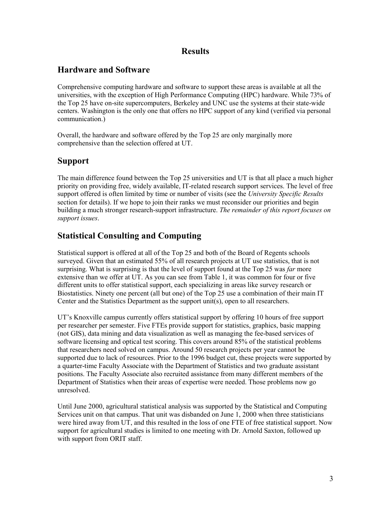## **Results**

# **Hardware and Software**

Comprehensive computing hardware and software to support these areas is available at all the universities, with the exception of High Performance Computing (HPC) hardware. While 73% of the Top 25 have on-site supercomputers, Berkeley and UNC use the systems at their state-wide centers. Washington is the only one that offers no HPC support of any kind (verified via personal communication.)

Overall, the hardware and software offered by the Top 25 are only marginally more comprehensive than the selection offered at UT.

# **Support**

The main difference found between the Top 25 universities and UT is that all place a much higher priority on providing free, widely available, IT-related research support services. The level of free support offered is often limited by time or number of visits (see the *University Specific Results* section for details). If we hope to join their ranks we must reconsider our priorities and begin building a much stronger research-support infrastructure. *The remainder of this report focuses on support issues*.

# **Statistical Consulting and Computing**

Statistical support is offered at all of the Top 25 and both of the Board of Regents schools surveyed. Given that an estimated 55% of all research projects at UT use statistics, that is not surprising. What is surprising is that the level of support found at the Top 25 was *far* more extensive than we offer at UT. As you can see from Table 1, it was common for four or five different units to offer statistical support, each specializing in areas like survey research or Biostatistics. Ninety one percent (all but one) of the Top 25 use a combination of their main IT Center and the Statistics Department as the support unit(s), open to all researchers.

UT's Knoxville campus currently offers statistical support by offering 10 hours of free support per researcher per semester. Five FTEs provide support for statistics, graphics, basic mapping (not GIS), data mining and data visualization as well as managing the fee-based services of software licensing and optical test scoring. This covers around 85% of the statistical problems that researchers need solved on campus. Around 50 research projects per year cannot be supported due to lack of resources. Prior to the 1996 budget cut, these projects were supported by a quarter-time Faculty Associate with the Department of Statistics and two graduate assistant positions. The Faculty Associate also recruited assistance from many different members of the Department of Statistics when their areas of expertise were needed. Those problems now go unresolved.

Until June 2000, agricultural statistical analysis was supported by the Statistical and Computing Services unit on that campus. That unit was disbanded on June 1, 2000 when three statisticians were hired away from UT, and this resulted in the loss of one FTE of free statistical support. Now support for agricultural studies is limited to one meeting with Dr. Arnold Saxton, followed up with support from ORIT staff.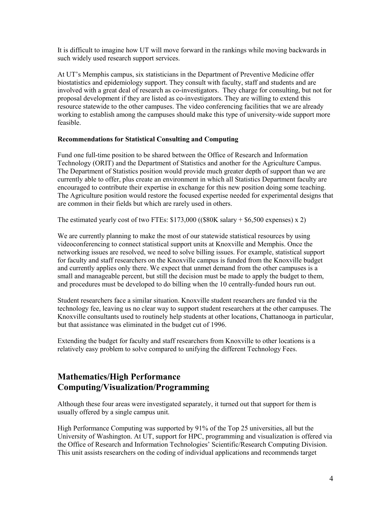It is difficult to imagine how UT will move forward in the rankings while moving backwards in such widely used research support services.

At UT's Memphis campus, six statisticians in the Department of Preventive Medicine offer biostatistics and epidemiology support. They consult with faculty, staff and students and are involved with a great deal of research as co-investigators. They charge for consulting, but not for proposal development if they are listed as co-investigators. They are willing to extend this resource statewide to the other campuses. The video conferencing facilities that we are already working to establish among the campuses should make this type of university-wide support more feasible.

## **Recommendations for Statistical Consulting and Computing**

Fund one full-time position to be shared between the Office of Research and Information Technology (ORIT) and the Department of Statistics and another for the Agriculture Campus. The Department of Statistics position would provide much greater depth of support than we are currently able to offer, plus create an environment in which all Statistics Department faculty are encouraged to contribute their expertise in exchange for this new position doing some teaching. The Agriculture position would restore the focused expertise needed for experimental designs that are common in their fields but which are rarely used in others.

The estimated yearly cost of two FTEs:  $$173,000$  (( $$80K$  salary  $+ $6,500$  expenses) x 2)

We are currently planning to make the most of our statewide statistical resources by using videoconferencing to connect statistical support units at Knoxville and Memphis. Once the networking issues are resolved, we need to solve billing issues. For example, statistical support for faculty and staff researchers on the Knoxville campus is funded from the Knoxville budget and currently applies only there. We expect that unmet demand from the other campuses is a small and manageable percent, but still the decision must be made to apply the budget to them, and procedures must be developed to do billing when the 10 centrally-funded hours run out.

Student researchers face a similar situation. Knoxville student researchers are funded via the technology fee, leaving us no clear way to support student researchers at the other campuses. The Knoxville consultants used to routinely help students at other locations, Chattanooga in particular, but that assistance was eliminated in the budget cut of 1996.

Extending the budget for faculty and staff researchers from Knoxville to other locations is a relatively easy problem to solve compared to unifying the different Technology Fees.

# **Mathematics/High Performance Computing/Visualization/Programming**

Although these four areas were investigated separately, it turned out that support for them is usually offered by a single campus unit.

High Performance Computing was supported by 91% of the Top 25 universities, all but the University of Washington. At UT, support for HPC, programming and visualization is offered via the Office of Research and Information Technologies' Scientific/Research Computing Division. This unit assists researchers on the coding of individual applications and recommends target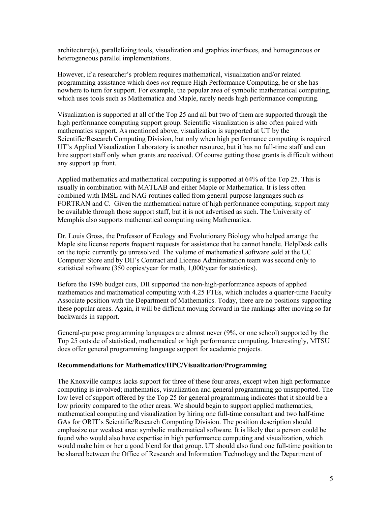architecture(s), parallelizing tools, visualization and graphics interfaces, and homogeneous or heterogeneous parallel implementations.

However, if a researcher's problem requires mathematical, visualization and/or related programming assistance which does *not* require High Performance Computing, he or she has nowhere to turn for support. For example, the popular area of symbolic mathematical computing, which uses tools such as Mathematica and Maple, rarely needs high performance computing.

Visualization is supported at all of the Top 25 and all but two of them are supported through the high performance computing support group. Scientific visualization is also often paired with mathematics support. As mentioned above, visualization is supported at UT by the Scientific/Research Computing Division, but only when high performance computing is required. UT's Applied Visualization Laboratory is another resource, but it has no full-time staff and can hire support staff only when grants are received. Of course getting those grants is difficult without any support up front.

Applied mathematics and mathematical computing is supported at 64% of the Top 25. This is usually in combination with MATLAB and either Maple or Mathematica. It is less often combined with IMSL and NAG routines called from general purpose languages such as FORTRAN and C. Given the mathematical nature of high performance computing, support may be available through those support staff, but it is not advertised as such. The University of Memphis also supports mathematical computing using Mathematica.

Dr. Louis Gross, the Professor of Ecology and Evolutionary Biology who helped arrange the Maple site license reports frequent requests for assistance that he cannot handle. HelpDesk calls on the topic currently go unresolved. The volume of mathematical software sold at the UC Computer Store and by DII's Contract and License Administration team was second only to statistical software (350 copies/year for math, 1,000/year for statistics).

Before the 1996 budget cuts, DII supported the non-high-performance aspects of applied mathematics and mathematical computing with 4.25 FTEs, which includes a quarter-time Faculty Associate position with the Department of Mathematics. Today, there are no positions supporting these popular areas. Again, it will be difficult moving forward in the rankings after moving so far backwards in support.

General-purpose programming languages are almost never (9%, or one school) supported by the Top 25 outside of statistical, mathematical or high performance computing. Interestingly, MTSU does offer general programming language support for academic projects.

#### **Recommendations for Mathematics/HPC/Visualization/Programming**

The Knoxville campus lacks support for three of these four areas, except when high performance computing is involved; mathematics, visualization and general programming go unsupported. The low level of support offered by the Top 25 for general programming indicates that it should be a low priority compared to the other areas. We should begin to support applied mathematics, mathematical computing and visualization by hiring one full-time consultant and two half-time GAs for ORIT's Scientific/Research Computing Division. The position description should emphasize our weakest area: symbolic mathematical software. It is likely that a person could be found who would also have expertise in high performance computing and visualization, which would make him or her a good blend for that group. UT should also fund one full-time position to be shared between the Office of Research and Information Technology and the Department of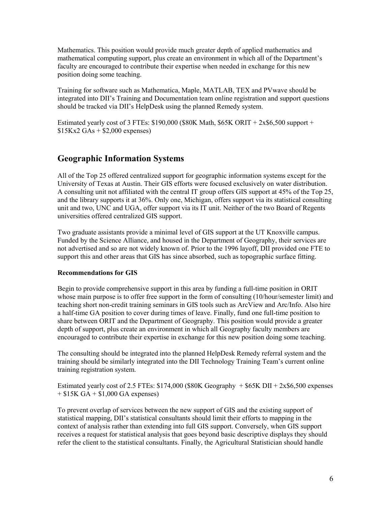Mathematics. This position would provide much greater depth of applied mathematics and mathematical computing support, plus create an environment in which all of the Department's faculty are encouraged to contribute their expertise when needed in exchange for this new position doing some teaching.

Training for software such as Mathematica, Maple, MATLAB, TEX and PVwave should be integrated into DII's Training and Documentation team online registration and support questions should be tracked via DII's HelpDesk using the planned Remedy system.

Estimated yearly cost of 3 FTEs:  $$190,000$  (\$80K Math, \$65K ORIT + 2x\$6,500 support +  $$15Kx2$  GAs +  $$2,000$  expenses)

## **Geographic Information Systems**

All of the Top 25 offered centralized support for geographic information systems except for the University of Texas at Austin. Their GIS efforts were focused exclusively on water distribution. A consulting unit not affiliated with the central IT group offers GIS support at 45% of the Top 25, and the library supports it at 36%. Only one, Michigan, offers support via its statistical consulting unit and two, UNC and UGA, offer support via its IT unit. Neither of the two Board of Regents universities offered centralized GIS support.

Two graduate assistants provide a minimal level of GIS support at the UT Knoxville campus. Funded by the Science Alliance, and housed in the Department of Geography, their services are not advertised and so are not widely known of. Prior to the 1996 layoff, DII provided one FTE to support this and other areas that GIS has since absorbed, such as topographic surface fitting.

## **Recommendations for GIS**

Begin to provide comprehensive support in this area by funding a full-time position in ORIT whose main purpose is to offer free support in the form of consulting (10/hour/semester limit) and teaching short non-credit training seminars in GIS tools such as ArcView and Arc/Info. Also hire a half-time GA position to cover during times of leave. Finally, fund one full-time position to share between ORIT and the Department of Geography. This position would provide a greater depth of support, plus create an environment in which all Geography faculty members are encouraged to contribute their expertise in exchange for this new position doing some teaching.

The consulting should be integrated into the planned HelpDesk Remedy referral system and the training should be similarly integrated into the DII Technology Training Team's current online training registration system.

Estimated yearly cost of 2.5 FTEs:  $$174,000$  ( $$80K$  Geography +  $$65K$  DII +  $2x$6,500$  expenses  $+ $15K GA + $1,000 GA expenses)$ 

To prevent overlap of services between the new support of GIS and the existing support of statistical mapping, DII's statistical consultants should limit their efforts to mapping in the context of analysis rather than extending into full GIS support. Conversely, when GIS support receives a request for statistical analysis that goes beyond basic descriptive displays they should refer the client to the statistical consultants. Finally, the Agricultural Statistician should handle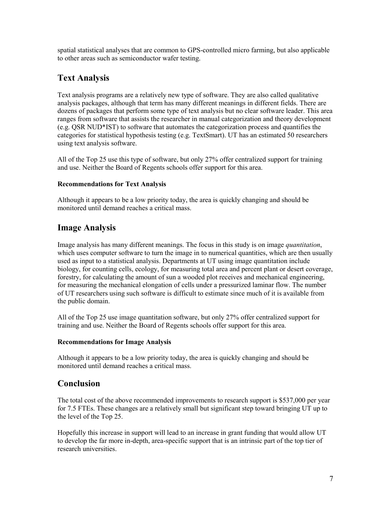spatial statistical analyses that are common to GPS-controlled micro farming, but also applicable to other areas such as semiconductor wafer testing.

# **Text Analysis**

Text analysis programs are a relatively new type of software. They are also called qualitative analysis packages, although that term has many different meanings in different fields. There are dozens of packages that perform some type of text analysis but no clear software leader. This area ranges from software that assists the researcher in manual categorization and theory development (e.g. QSR NUD\*IST) to software that automates the categorization process and quantifies the categories for statistical hypothesis testing (e.g. TextSmart). UT has an estimated 50 researchers using text analysis software.

All of the Top 25 use this type of software, but only 27% offer centralized support for training and use. Neither the Board of Regents schools offer support for this area.

## **Recommendations for Text Analysis**

Although it appears to be a low priority today, the area is quickly changing and should be monitored until demand reaches a critical mass.

# **Image Analysis**

Image analysis has many different meanings. The focus in this study is on image *quantitation*, which uses computer software to turn the image in to numerical quantities, which are then usually used as input to a statistical analysis. Departments at UT using image quantitation include biology, for counting cells, ecology, for measuring total area and percent plant or desert coverage, forestry, for calculating the amount of sun a wooded plot receives and mechanical engineering, for measuring the mechanical elongation of cells under a pressurized laminar flow. The number of UT researchers using such software is difficult to estimate since much of it is available from the public domain.

All of the Top 25 use image quantitation software, but only 27% offer centralized support for training and use. Neither the Board of Regents schools offer support for this area.

## **Recommendations for Image Analysis**

Although it appears to be a low priority today, the area is quickly changing and should be monitored until demand reaches a critical mass.

## **Conclusion**

The total cost of the above recommended improvements to research support is \$537,000 per year for 7.5 FTEs. These changes are a relatively small but significant step toward bringing UT up to the level of the Top 25.

Hopefully this increase in support will lead to an increase in grant funding that would allow UT to develop the far more in-depth, area-specific support that is an intrinsic part of the top tier of research universities.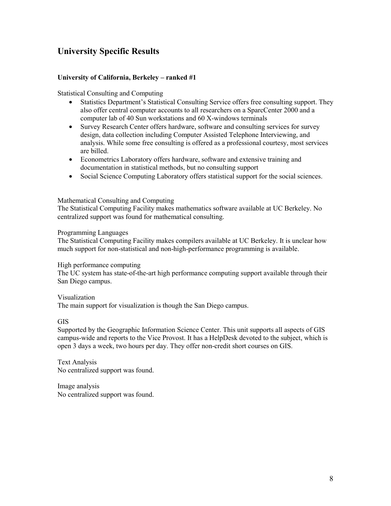# **University Specific Results**

## **University of California, Berkeley – ranked #1**

Statistical Consulting and Computing

- Statistics Department's Statistical Consulting Service offers free consulting support. They also offer central computer accounts to all researchers on a SparcCenter 2000 and a computer lab of 40 Sun workstations and 60 X-windows terminals
- Survey Research Center offers hardware, software and consulting services for survey design, data collection including Computer Assisted Telephone Interviewing, and analysis. While some free consulting is offered as a professional courtesy, most services are billed.
- Econometrics Laboratory offers hardware, software and extensive training and documentation in statistical methods, but no consulting support
- Social Science Computing Laboratory offers statistical support for the social sciences.

#### Mathematical Consulting and Computing

The Statistical Computing Facility makes mathematics software available at UC Berkeley. No centralized support was found for mathematical consulting.

#### Programming Languages

The Statistical Computing Facility makes compilers available at UC Berkeley. It is unclear how much support for non-statistical and non-high-performance programming is available.

#### High performance computing

The UC system has state-of-the-art high performance computing support available through their San Diego campus.

#### Visualization

The main support for visualization is though the San Diego campus.

#### GIS

Supported by the Geographic Information Science Center. This unit supports all aspects of GIS campus-wide and reports to the Vice Provost. It has a HelpDesk devoted to the subject, which is open 3 days a week, two hours per day. They offer non-credit short courses on GIS.

Text Analysis No centralized support was found.

Image analysis No centralized support was found.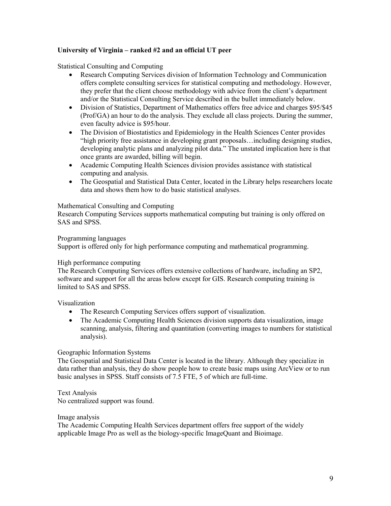## **University of Virginia – ranked #2 and an official UT peer**

Statistical Consulting and Computing

- Research Computing Services division of Information Technology and Communication offers complete consulting services for statistical computing and methodology. However, they prefer that the client choose methodology with advice from the client's department and/or the Statistical Consulting Service described in the bullet immediately below.
- Division of Statistics, Department of Mathematics offers free advice and charges \$95/\$45 (Prof/GA) an hour to do the analysis. They exclude all class projects. During the summer, even faculty advice is \$95/hour.
- The Division of Biostatistics and Epidemiology in the Health Sciences Center provides "high priority free assistance in developing grant proposals…including designing studies, developing analytic plans and analyzing pilot data." The unstated implication here is that once grants are awarded, billing will begin.
- Academic Computing Health Sciences division provides assistance with statistical computing and analysis.
- The Geospatial and Statistical Data Center, located in the Library helps researchers locate data and shows them how to do basic statistical analyses.

#### Mathematical Consulting and Computing

Research Computing Services supports mathematical computing but training is only offered on SAS and SPSS.

#### Programming languages

Support is offered only for high performance computing and mathematical programming.

#### High performance computing

The Research Computing Services offers extensive collections of hardware, including an SP2, software and support for all the areas below except for GIS. Research computing training is limited to SAS and SPSS.

Visualization

- The Research Computing Services offers support of visualization.
- The Academic Computing Health Sciences division supports data visualization, image scanning, analysis, filtering and quantitation (converting images to numbers for statistical analysis).

#### Geographic Information Systems

The Geospatial and Statistical Data Center is located in the library. Although they specialize in data rather than analysis, they do show people how to create basic maps using ArcView or to run basic analyses in SPSS. Staff consists of 7.5 FTE, 5 of which are full-time.

Text Analysis No centralized support was found.

Image analysis

The Academic Computing Health Services department offers free support of the widely applicable Image Pro as well as the biology-specific ImageQuant and Bioimage.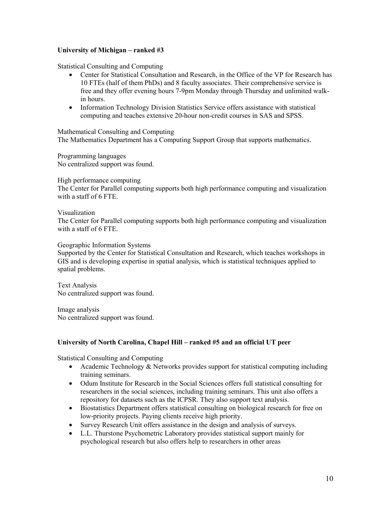## **University of Michigan – ranked #3**

Statistical Consulting and Computing

- Center for Statistical Consultation and Research, in the Office of the VP for Research has 10 FTEs (half of them PhDs) and 8 faculty associates. Their comprehensive service is free and they offer evening hours 7-9pm Monday through Thursday and unlimited walkin hours.
- Information Technology Division Statistics Service offers assistance with statistical computing and teaches extensive 20-hour non-credit courses in SAS and SPSS.

Mathematical Consulting and Computing The Mathematics Department has a Computing Support Group that supports mathematics.

Programming languages No centralized support was found.

High performance computing

The Center for Parallel computing supports both high performance computing and visualization with a staff of 6 FTE.

Visualization

The Center for Parallel computing supports both high performance computing and visualization with a staff of 6 FTE.

Geographic Information Systems

Supported by the Center for Statistical Consultation and Research, which teaches workshops in GIS and is developing expertise in spatial analysis, which is statistical techniques applied to spatial problems.

Text Analysis No centralized support was found.

Image analysis No centralized support was found.

## **University of North Carolina, Chapel Hill – ranked #5 and an official UT peer**

Statistical Consulting and Computing

- Academic Technology & Networks provides support for statistical computing including training seminars.
- Odum Institute for Research in the Social Sciences offers full statistical consulting for researchers in the social sciences, including training seminars. This unit also offers a repository for datasets such as the ICPSR. They also support text analysis.
- Biostatistics Department offers statistical consulting on biological research for free on low-priority projects. Paying clients receive high priority.
- Survey Research Unit offers assistance in the design and analysis of surveys.
- L.L. Thurstone Psychometric Laboratory provides statistical support mainly for psychological research but also offers help to researchers in other areas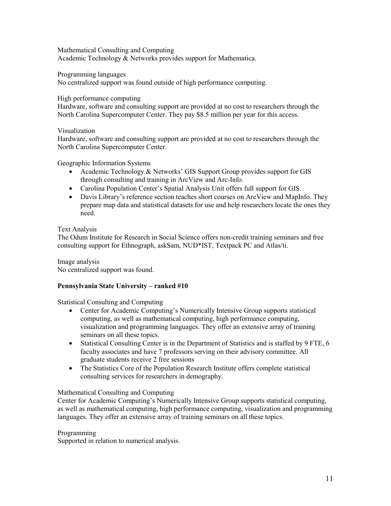Mathematical Consulting and Computing Academic Technology & Networks provides support for Mathematica.

Programming languages

No centralized support was found outside of high performance computing.

High performance computing

Hardware, software and consulting support are provided at no cost to researchers through the North Carolina Supercomputer Center. They pay \$8.5 million per year for this access.

Visualization

Hardware, software and consulting support are provided at no cost to researchers through the North Carolina Supercomputer Center.

Geographic Information Systems

- Academic Technology & Networks' GIS Support Group provides support for GIS through consulting and training in ArcView and Arc-Info.
- Carolina Population Center's Spatial Analysis Unit offers full support for GIS.
- Davis Library's reference section teaches short courses on ArcView and MapInfo. They prepare map data and statistical datasets for use and help researchers locate the ones they need.

Text Analysis

The Odum Institute for Research in Social Science offers non-credit training seminars and free consulting support for Ethnograph, askSam, NUD\*IST, Textpack PC and Atlas/ti.

Image analysis No centralized support was found.

## **Pennsylvania State University – ranked #10**

Statistical Consulting and Computing

- Center for Academic Computing's Numerically Intensive Group supports statistical computing, as well as mathematical computing, high performance computing, visualization and programming languages. They offer an extensive array of training seminars on all these topics.
- Statistical Consulting Center is in the Department of Statistics and is staffed by 9 FTE, 6 faculty associates and have 7 professors serving on their advisory committee. All graduate students receive 2 free sessions
- The Statistics Core of the Population Research Institute offers complete statistical consulting services for researchers in demography.

## Mathematical Consulting and Computing

Center for Academic Computing's Numerically Intensive Group supports statistical computing, as well as mathematical computing, high performance computing, visualization and programming languages. They offer an extensive array of training seminars on all these topics.

## Programming

Supported in relation to numerical analysis.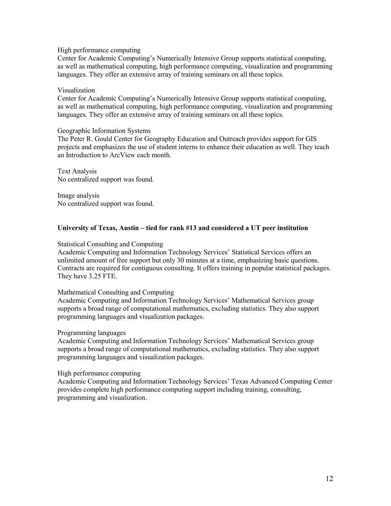#### High performance computing

Center for Academic Computing's Numerically Intensive Group supports statistical computing, as well as mathematical computing, high performance computing, visualization and programming languages. They offer an extensive array of training seminars on all these topics.

#### Visualization

Center for Academic Computing's Numerically Intensive Group supports statistical computing, as well as mathematical computing, high performance computing, visualization and programming languages. They offer an extensive array of training seminars on all these topics.

#### Geographic Information Systems

The Peter R. Gould Center for Geography Education and Outreach provides support for GIS projects and emphasizes the use of student interns to enhance their education as well. They teach an Introduction to ArcView each month.

Text Analysis No centralized support was found.

Image analysis No centralized support was found.

## **University of Texas, Austin – tied for rank #13 and considered a UT peer institution**

#### Statistical Consulting and Computing

Academic Computing and Information Technology Services' Statistical Services offers an unlimited amount of free support but only 30 minutes at a time, emphasizing basic questions. Contracts are required for contiguous consulting. It offers training in popular statistical packages. They have 3.25 FTE.

#### Mathematical Consulting and Computing

Academic Computing and Information Technology Services' Mathematical Services group supports a broad range of computational mathematics, excluding statistics. They also support programming languages and visualization packages.

#### Programming languages

Academic Computing and Information Technology Services' Mathematical Services group supports a broad range of computational mathematics, excluding statistics. They also support programming languages and visualization packages.

High performance computing

Academic Computing and Information Technology Services' Texas Advanced Computing Center provides complete high performance computing support including training, consulting, programming and visualization.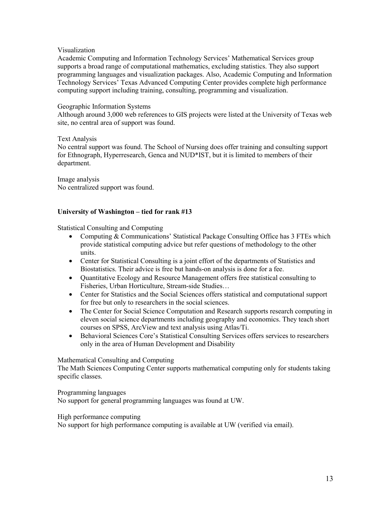## Visualization

Academic Computing and Information Technology Services' Mathematical Services group supports a broad range of computational mathematics, excluding statistics. They also support programming languages and visualization packages. Also, Academic Computing and Information Technology Services' Texas Advanced Computing Center provides complete high performance computing support including training, consulting, programming and visualization.

### Geographic Information Systems

Although around 3,000 web references to GIS projects were listed at the University of Texas web site, no central area of support was found.

## Text Analysis

No central support was found. The School of Nursing does offer training and consulting support for Ethnograph, Hyperresearch, Genca and NUD\*IST, but it is limited to members of their department.

Image analysis No centralized support was found.

## **University of Washington – tied for rank #13**

Statistical Consulting and Computing

- Computing & Communications' Statistical Package Consulting Office has 3 FTEs which provide statistical computing advice but refer questions of methodology to the other units.
- Center for Statistical Consulting is a joint effort of the departments of Statistics and Biostatistics. Their advice is free but hands-on analysis is done for a fee.
- Quantitative Ecology and Resource Management offers free statistical consulting to Fisheries, Urban Horticulture, Stream-side Studies…
- Center for Statistics and the Social Sciences offers statistical and computational support for free but only to researchers in the social sciences.
- The Center for Social Science Computation and Research supports research computing in eleven social science departments including geography and economics. They teach short courses on SPSS, ArcView and text analysis using Atlas/Ti.
- Behavioral Sciences Core's Statistical Consulting Services offers services to researchers only in the area of Human Development and Disability

## Mathematical Consulting and Computing

The Math Sciences Computing Center supports mathematical computing only for students taking specific classes.

Programming languages

No support for general programming languages was found at UW.

High performance computing

No support for high performance computing is available at UW (verified via email).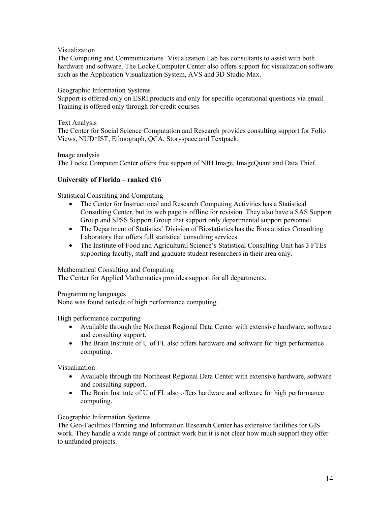Visualization

The Computing and Communications' Visualization Lab has consultants to assist with both hardware and software. The Locke Computer Center also offers support for visualization software such as the Application Visualization System, AVS and 3D Studio Max.

## Geographic Information Systems

Support is offered only on ESRI products and only for specific operational questions via email. Training is offered only through for-credit courses.

## Text Analysis

The Center for Social Science Computation and Research provides consulting support for Folio Views, NUD\*IST, Ethnograph, QCA, Storyspace and Textpack.

Image analysis

The Locke Computer Center offers free support of NIH Image, ImageQuant and Data Thief.

## **University of Florida – ranked #16**

Statistical Consulting and Computing

- The Center for Instructional and Research Computing Activities has a Statistical Consulting Center, but its web page is offline for revision. They also have a SAS Support Group and SPSS Support Group that support only departmental support personnel.
- The Department of Statistics' Division of Biostatistics has the Biostatistics Consulting Laboratory that offers full statistical consulting services.
- The Institute of Food and Agricultural Science's Statistical Consulting Unit has 3 FTEs supporting faculty, staff and graduate student researchers in their area only.

#### Mathematical Consulting and Computing

The Center for Applied Mathematics provides support for all departments.

Programming languages

None was found outside of high performance computing.

High performance computing

- Available through the Northeast Regional Data Center with extensive hardware, software and consulting support.
- The Brain Institute of U of FL also offers hardware and software for high performance computing.

Visualization

- Available through the Northeast Regional Data Center with extensive hardware, software and consulting support.
- The Brain Institute of U of FL also offers hardware and software for high performance computing.

#### Geographic Information Systems

The Geo-Facilities Planning and Information Research Center has extensive facilities for GIS work. They handle a wide range of contract work but it is not clear how much support they offer to unfunded projects.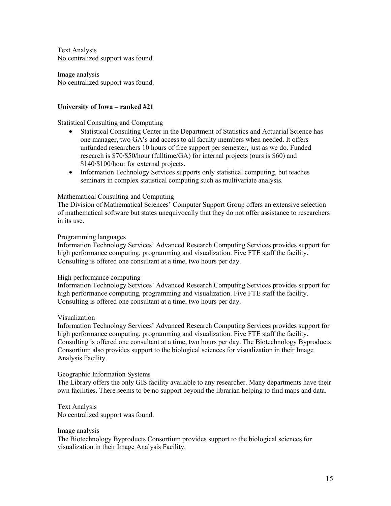Text Analysis No centralized support was found.

Image analysis No centralized support was found.

## **University of Iowa – ranked #21**

Statistical Consulting and Computing

- Statistical Consulting Center in the Department of Statistics and Actuarial Science has one manager, two GA's and access to all faculty members when needed. It offers unfunded researchers 10 hours of free support per semester, just as we do. Funded research is \$70/\$50/hour (fulltime/GA) for internal projects (ours is \$60) and \$140/\$100/hour for external projects.
- Information Technology Services supports only statistical computing, but teaches seminars in complex statistical computing such as multivariate analysis.

#### Mathematical Consulting and Computing

The Division of Mathematical Sciences' Computer Support Group offers an extensive selection of mathematical software but states unequivocally that they do not offer assistance to researchers in its use.

#### Programming languages

Information Technology Services' Advanced Research Computing Services provides support for high performance computing, programming and visualization. Five FTE staff the facility. Consulting is offered one consultant at a time, two hours per day.

#### High performance computing

Information Technology Services' Advanced Research Computing Services provides support for high performance computing, programming and visualization. Five FTE staff the facility. Consulting is offered one consultant at a time, two hours per day.

#### Visualization

Information Technology Services' Advanced Research Computing Services provides support for high performance computing, programming and visualization. Five FTE staff the facility. Consulting is offered one consultant at a time, two hours per day. The Biotechnology Byproducts Consortium also provides support to the biological sciences for visualization in their Image Analysis Facility.

#### Geographic Information Systems

The Library offers the only GIS facility available to any researcher. Many departments have their own facilities. There seems to be no support beyond the librarian helping to find maps and data.

Text Analysis No centralized support was found.

#### Image analysis

The Biotechnology Byproducts Consortium provides support to the biological sciences for visualization in their Image Analysis Facility.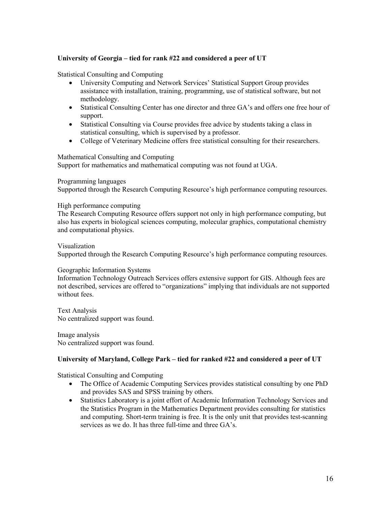## **University of Georgia – tied for rank #22 and considered a peer of UT**

Statistical Consulting and Computing

- University Computing and Network Services' Statistical Support Group provides assistance with installation, training, programming, use of statistical software, but not methodology.
- Statistical Consulting Center has one director and three GA's and offers one free hour of support.
- Statistical Consulting via Course provides free advice by students taking a class in statistical consulting, which is supervised by a professor.
- College of Veterinary Medicine offers free statistical consulting for their researchers.

#### Mathematical Consulting and Computing

Support for mathematics and mathematical computing was not found at UGA.

#### Programming languages

Supported through the Research Computing Resource's high performance computing resources.

#### High performance computing

The Research Computing Resource offers support not only in high performance computing, but also has experts in biological sciences computing, molecular graphics, computational chemistry and computational physics.

#### Visualization

Supported through the Research Computing Resource's high performance computing resources.

#### Geographic Information Systems

Information Technology Outreach Services offers extensive support for GIS. Although fees are not described, services are offered to "organizations" implying that individuals are not supported without fees.

Text Analysis No centralized support was found.

Image analysis No centralized support was found.

#### **University of Maryland, College Park – tied for ranked #22 and considered a peer of UT**

Statistical Consulting and Computing

- The Office of Academic Computing Services provides statistical consulting by one PhD and provides SAS and SPSS training by others.
- Statistics Laboratory is a joint effort of Academic Information Technology Services and the Statistics Program in the Mathematics Department provides consulting for statistics and computing. Short-term training is free. It is the only unit that provides test-scanning services as we do. It has three full-time and three GA's.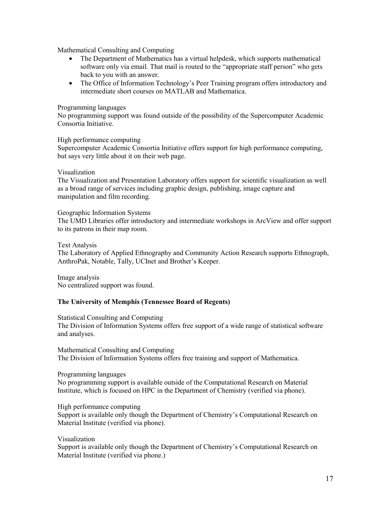Mathematical Consulting and Computing

- The Department of Mathematics has a virtual helpdesk, which supports mathematical software only via email. That mail is routed to the "appropriate staff person" who gets back to you with an answer.
- The Office of Information Technology's Peer Training program offers introductory and intermediate short courses on MATLAB and Mathematica.

#### Programming languages

No programming support was found outside of the possibility of the Supercomputer Academic Consortia Initiative.

#### High performance computing

Supercomputer Academic Consortia Initiative offers support for high performance computing, but says very little about it on their web page.

#### Visualization

The Visualization and Presentation Laboratory offers support for scientific visualization as well as a broad range of services including graphic design, publishing, image capture and manipulation and film recording.

Geographic Information Systems The UMD Libraries offer introductory and intermediate workshops in ArcView and offer support to its patrons in their map room.

#### Text Analysis

The Laboratory of Applied Ethnography and Community Action Research supports Ethnograph, AnthroPak, Notable, Tally, UCInet and Brother's Keeper.

Image analysis No centralized support was found.

#### **The University of Memphis (Tennessee Board of Regents)**

Statistical Consulting and Computing

The Division of Information Systems offers free support of a wide range of statistical software and analyses.

Mathematical Consulting and Computing The Division of Information Systems offers free training and support of Mathematica.

Programming languages

No programming support is available outside of the Computational Research on Material Institute, which is focused on HPC in the Department of Chemistry (verified via phone).

High performance computing

Support is available only though the Department of Chemistry's Computational Research on Material Institute (verified via phone).

Visualization

Support is available only though the Department of Chemistry's Computational Research on Material Institute (verified via phone.)